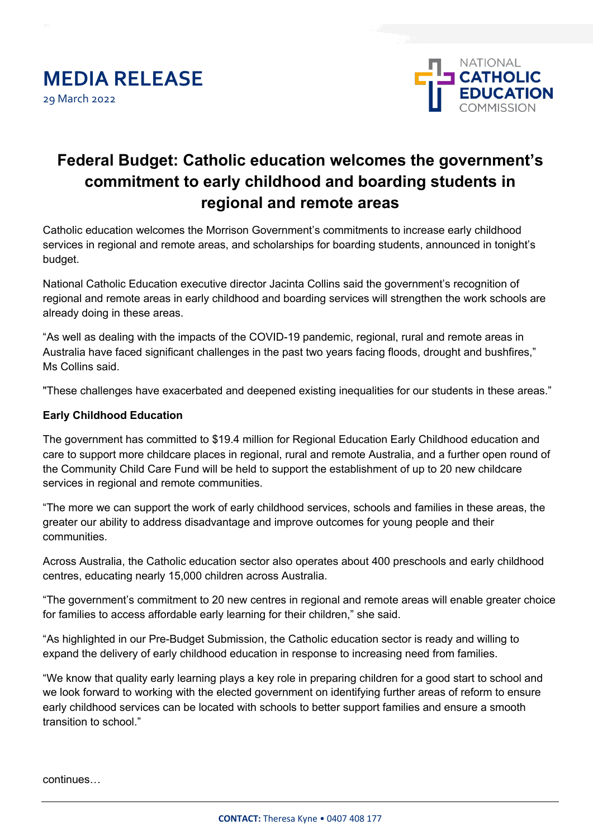

## **Federal Budget: Catholic education welcomes the government's commitment to early childhood and boarding students in regional and remote areas**

Catholic education welcomes the Morrison Government's commitments to increase early childhood services in regional and remote areas, and scholarships for boarding students, announced in tonight's budget.

National Catholic Education executive director Jacinta Collins said the government's recognition of regional and remote areas in early childhood and boarding services will strengthen the work schools are already doing in these areas.

"As well as dealing with the impacts of the COVID-19 pandemic, regional, rural and remote areas in Australia have faced significant challenges in the past two years facing floods, drought and bushfires," Ms Collins said.

"These challenges have exacerbated and deepened existing inequalities for our students in these areas."

## **Early Childhood Education**

The government has committed to \$19.4 million for Regional Education Early Childhood education and care to support more childcare places in regional, rural and remote Australia, and a further open round of the Community Child Care Fund will be held to support the establishment of up to 20 new childcare services in regional and remote communities.

"The more we can support the work of early childhood services, schools and families in these areas, the greater our ability to address disadvantage and improve outcomes for young people and their communities.

Across Australia, the Catholic education sector also operates about 400 preschools and early childhood centres, educating nearly 15,000 children across Australia.

"The government's commitment to 20 new centres in regional and remote areas will enable greater choice for families to access affordable early learning for their children," she said.

"As highlighted in our Pre-Budget Submission, the Catholic education sector is ready and willing to expand the delivery of early childhood education in response to increasing need from families.

"We know that quality early learning plays a key role in preparing children for a good start to school and we look forward to working with the elected government on identifying further areas of reform to ensure early childhood services can be located with schools to better support families and ensure a smooth transition to school."

continues…